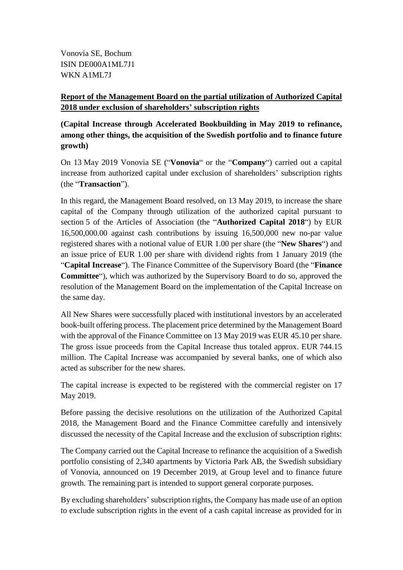Vonovia SE, Bochum ISIN DE000A1ML7J1 WKN A1ML7J

## **Report of the Management Board on the partial utilization of Authorized Capital 2018 under exclusion of shareholders' subscription rights**

**(Capital Increase through Accelerated Bookbuilding in May 2019 to refinance, among other things, the acquisition of the Swedish portfolio and to finance future growth)**

On 13 May 2019 Vonovia SE ("**Vonovia**" or the "**Company**") carried out a capital increase from authorized capital under exclusion of shareholders' subscription rights (the "**Transaction**").

In this regard, the Management Board resolved, on 13 May 2019, to increase the share capital of the Company through utilization of the authorized capital pursuant to section 5 of the Articles of Association (the "**Authorized Capital 2018**") by EUR 16,500,000.00 against cash contributions by issuing 16,500,000 new no-par value registered shares with a notional value of EUR 1.00 per share (the "**New Shares**") and an issue price of EUR 1.00 per share with dividend rights from 1 January 2019 (the "**Capital Increase**"). The Finance Committee of the Supervisory Board (the "**Finance Committee**"), which was authorized by the Supervisory Board to do so, approved the resolution of the Management Board on the implementation of the Capital Increase on the same day.

All New Shares were successfully placed with institutional investors by an accelerated book-built offering process. The placement price determined by the Management Board with the approval of the Finance Committee on 13 May 2019 was EUR 45.10 per share. The gross issue proceeds from the Capital Increase thus totaled approx. EUR 744.15 million. The Capital Increase was accompanied by several banks, one of which also acted as subscriber for the new shares.

The capital increase is expected to be registered with the commercial register on 17 May 2019.

Before passing the decisive resolutions on the utilization of the Authorized Capital 2018, the Management Board and the Finance Committee carefully and intensively discussed the necessity of the Capital Increase and the exclusion of subscription rights:

The Company carried out the Capital Increase to refinance the acquisition of a Swedish portfolio consisting of 2,340 apartments by Victoria Park AB, the Swedish subsidiary of Vonovia, announced on 19 December 2019, at Group level and to finance future growth. The remaining part is intended to support general corporate purposes.

By excluding shareholders' subscription rights, the Company has made use of an option to exclude subscription rights in the event of a cash capital increase as provided for in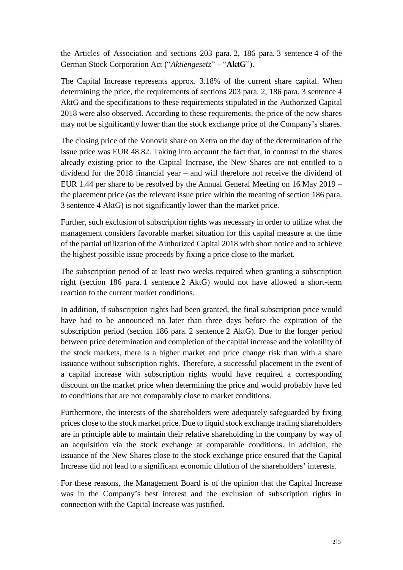the Articles of Association and sections 203 para. 2, 186 para. 3 sentence 4 of the German Stock Corporation Act ("*Aktiengesetz*" *–* "**AktG**").

The Capital Increase represents approx. 3.18% of the current share capital. When determining the price, the requirements of sections 203 para. 2, 186 para. 3 sentence 4 AktG and the specifications to these requirements stipulated in the Authorized Capital 2018 were also observed. According to these requirements, the price of the new shares may not be significantly lower than the stock exchange price of the Company's shares.

The closing price of the Vonovia share on Xetra on the day of the determination of the issue price was EUR 48.82. Taking into account the fact that, in contrast to the shares already existing prior to the Capital Increase, the New Shares are not entitled to a dividend for the 2018 financial year – and will therefore not receive the dividend of EUR 1.44 per share to be resolved by the Annual General Meeting on 16 May 2019 – the placement price (as the relevant issue price within the meaning of section 186 para. 3 sentence 4 AktG) is not significantly lower than the market price.

Further, such exclusion of subscription rights was necessary in order to utilize what the management considers favorable market situation for this capital measure at the time of the partial utilization of the Authorized Capital 2018 with short notice and to achieve the highest possible issue proceeds by fixing a price close to the market.

The subscription period of at least two weeks required when granting a subscription right (section 186 para. 1 sentence 2 AktG) would not have allowed a short-term reaction to the current market conditions.

In addition, if subscription rights had been granted, the final subscription price would have had to be announced no later than three days before the expiration of the subscription period (section 186 para. 2 sentence 2 AktG). Due to the longer period between price determination and completion of the capital increase and the volatility of the stock markets, there is a higher market and price change risk than with a share issuance without subscription rights. Therefore, a successful placement in the event of a capital increase with subscription rights would have required a corresponding discount on the market price when determining the price and would probably have led to conditions that are not comparably close to market conditions.

Furthermore, the interests of the shareholders were adequately safeguarded by fixing prices close to the stock market price. Due to liquid stock exchange trading shareholders are in principle able to maintain their relative shareholding in the company by way of an acquisition via the stock exchange at comparable conditions. In addition, the issuance of the New Shares close to the stock exchange price ensured that the Capital Increase did not lead to a significant economic dilution of the shareholders' interests.

For these reasons, the Management Board is of the opinion that the Capital Increase was in the Company's best interest and the exclusion of subscription rights in connection with the Capital Increase was justified.